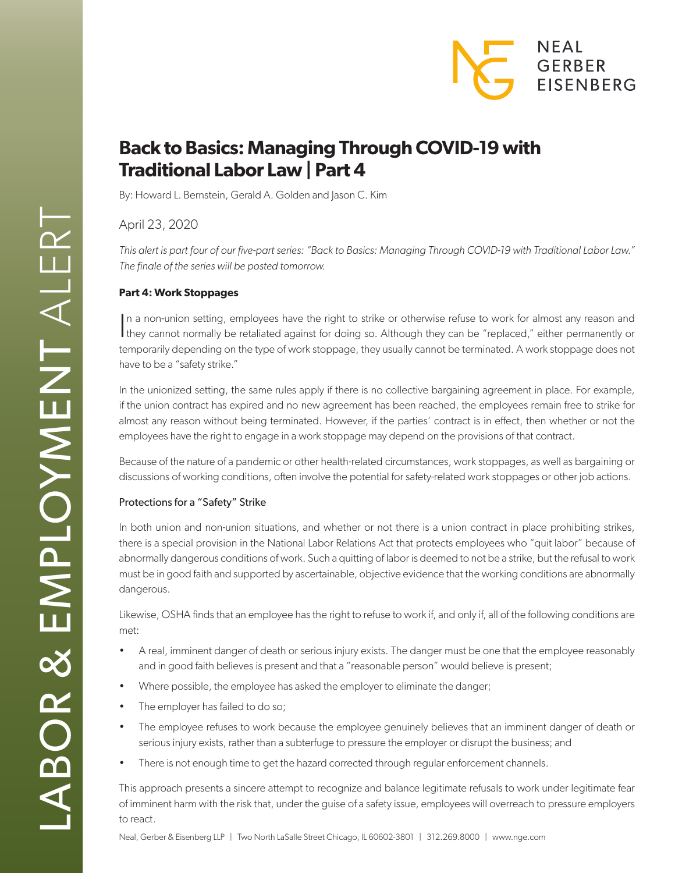

# **Back to Basics: Managing Through COVID-19 with Traditional Labor Law | Part 4**

By: Howard L. Bernstein, Gerald A. Golden and Jason C. Kim

April 23, 2020

*This alert is part four of our five-part series: "Back to Basics: Managing Through COVID-19 with Traditional Labor Law." The finale of the series will be posted tomorrow.* 

## **Part 4: Work Stoppages**

In a non-union setting, employees have the right to strike or otherwise refuse to work for almost any reason and they cannot normally be retaliated against for doing so. Although they can be "replaced," either permanently n a non-union setting, employees have the right to strike or otherwise refuse to work for almost any reason and temporarily depending on the type of work stoppage, they usually cannot be terminated. A work stoppage does not have to be a "safety strike."

In the unionized setting, the same rules apply if there is no collective bargaining agreement in place. For example, if the union contract has expired and no new agreement has been reached, the employees remain free to strike for almost any reason without being terminated. However, if the parties' contract is in effect, then whether or not the employees have the right to engage in a work stoppage may depend on the provisions of that contract.

Because of the nature of a pandemic or other health-related circumstances, work stoppages, as well as bargaining or discussions of working conditions, often involve the potential for safety-related work stoppages or other job actions.

## Protections for a "Safety" Strike

In both union and non-union situations, and whether or not there is a union contract in place prohibiting strikes, there is a special provision in the National Labor Relations Act that protects employees who "quit labor" because of abnormally dangerous conditions of work. Such a quitting of labor is deemed to not be a strike, but the refusal to work must be in good faith and supported by ascertainable, objective evidence that the working conditions are abnormally dangerous.

Likewise, OSHA finds that an employee has the right to refuse to work if, and only if, all of the following conditions are met:

- A real, imminent danger of death or serious injury exists. The danger must be one that the employee reasonably and in good faith believes is present and that a "reasonable person" would believe is present;
- Where possible, the employee has asked the employer to eliminate the danger;
- The employer has failed to do so;
- The employee refuses to work because the employee genuinely believes that an imminent danger of death or serious injury exists, rather than a subterfuge to pressure the employer or disrupt the business; and
- There is not enough time to get the hazard corrected through regular enforcement channels.

This approach presents a sincere attempt to recognize and balance legitimate refusals to work under legitimate fear of imminent harm with the risk that, under the guise of a safety issue, employees will overreach to pressure employers to react.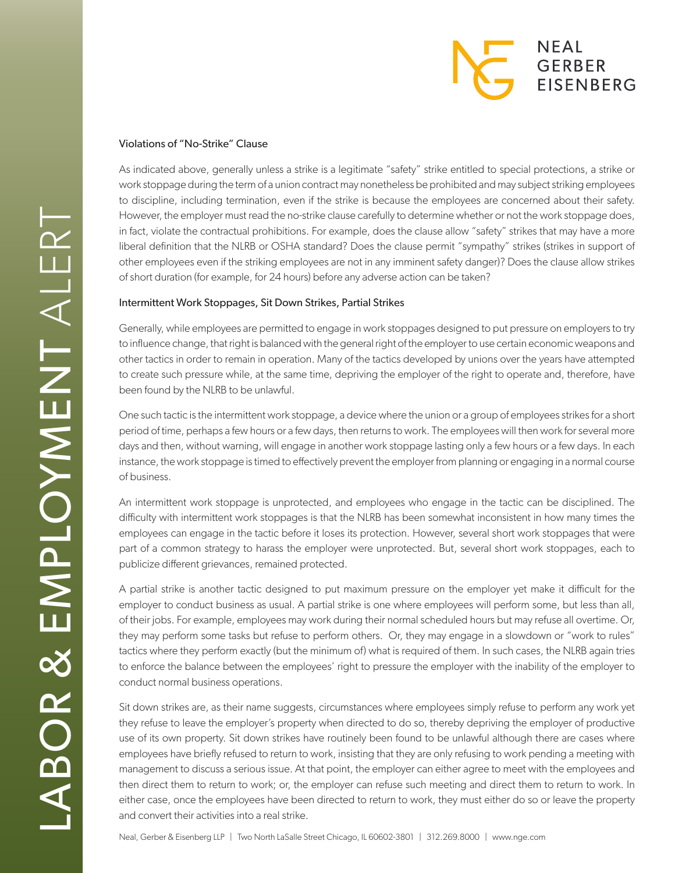## **NEAL GERBER EISENBERG**

### Violations of "No-Strike" Clause

As indicated above, generally unless a strike is a legitimate "safety" strike entitled to special protections, a strike or work stoppage during the term of a union contract may nonetheless be prohibited and may subject striking employees to discipline, including termination, even if the strike is because the employees are concerned about their safety. However, the employer must read the no-strike clause carefully to determine whether or not the work stoppage does, in fact, violate the contractual prohibitions. For example, does the clause allow "safety" strikes that may have a more liberal definition that the NLRB or OSHA standard? Does the clause permit "sympathy" strikes (strikes in support of other employees even if the striking employees are not in any imminent safety danger)? Does the clause allow strikes of short duration (for example, for 24 hours) before any adverse action can be taken?

### Intermittent Work Stoppages, Sit Down Strikes, Partial Strikes

Generally, while employees are permitted to engage in work stoppages designed to put pressure on employers to try to influence change, that right is balanced with the general right of the employer to use certain economic weapons and other tactics in order to remain in operation. Many of the tactics developed by unions over the years have attempted to create such pressure while, at the same time, depriving the employer of the right to operate and, therefore, have been found by the NLRB to be unlawful.

One such tactic is the intermittent work stoppage, a device where the union or a group of employees strikes for a short period of time, perhaps a few hours or a few days, then returns to work. The employees will then work for several more days and then, without warning, will engage in another work stoppage lasting only a few hours or a few days. In each instance, the work stoppage is timed to effectively prevent the employer from planning or engaging in a normal course of business.

An intermittent work stoppage is unprotected, and employees who engage in the tactic can be disciplined. The difficulty with intermittent work stoppages is that the NLRB has been somewhat inconsistent in how many times the employees can engage in the tactic before it loses its protection. However, several short work stoppages that were part of a common strategy to harass the employer were unprotected. But, several short work stoppages, each to publicize different grievances, remained protected.

A partial strike is another tactic designed to put maximum pressure on the employer yet make it difficult for the employer to conduct business as usual. A partial strike is one where employees will perform some, but less than all, of their jobs. For example, employees may work during their normal scheduled hours but may refuse all overtime. Or, they may perform some tasks but refuse to perform others. Or, they may engage in a slowdown or "work to rules" tactics where they perform exactly (but the minimum of) what is required of them. In such cases, the NLRB again tries to enforce the balance between the employees' right to pressure the employer with the inability of the employer to conduct normal business operations.

Sit down strikes are, as their name suggests, circumstances where employees simply refuse to perform any work yet they refuse to leave the employer's property when directed to do so, thereby depriving the employer of productive use of its own property. Sit down strikes have routinely been found to be unlawful although there are cases where employees have briefly refused to return to work, insisting that they are only refusing to work pending a meeting with management to discuss a serious issue. At that point, the employer can either agree to meet with the employees and then direct them to return to work; or, the employer can refuse such meeting and direct them to return to work. In either case, once the employees have been directed to return to work, they must either do so or leave the property and convert their activities into a real strike.